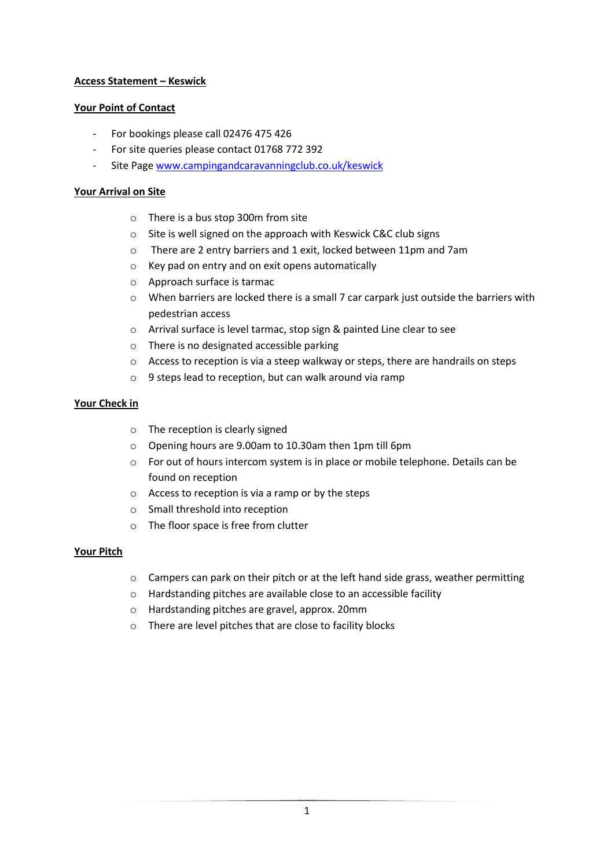# **Access Statement – Keswick**

# **Your Point of Contact**

- For bookings please call 02476 475 426
- For site queries please contact 01768 772 392
- Site Page [www.campingandcaravanningclub.co.uk/keswick](http://www.campingandcaravanningclub.co.uk/keswick)

## **Your Arrival on Site**

- o There is a bus stop 300m from site
- o Site is well signed on the approach with Keswick C&C club signs
- o There are 2 entry barriers and 1 exit, locked between 11pm and 7am
- o Key pad on entry and on exit opens automatically
- o Approach surface is tarmac
- o When barriers are locked there is a small 7 car carpark just outside the barriers with pedestrian access
- o Arrival surface is level tarmac, stop sign & painted Line clear to see
- o There is no designated accessible parking
- $\circ$  Access to reception is via a steep walkway or steps, there are handrails on steps
- o 9 steps lead to reception, but can walk around via ramp

# **Your Check in**

- o The reception is clearly signed
- o Opening hours are 9.00am to 10.30am then 1pm till 6pm
- o For out of hours intercom system is in place or mobile telephone. Details can be found on reception
- o Access to reception is via a ramp or by the steps
- o Small threshold into reception
- o The floor space is free from clutter

### **Your Pitch**

- $\circ$  Campers can park on their pitch or at the left hand side grass, weather permitting
- o Hardstanding pitches are available close to an accessible facility
- o Hardstanding pitches are gravel, approx. 20mm
- o There are level pitches that are close to facility blocks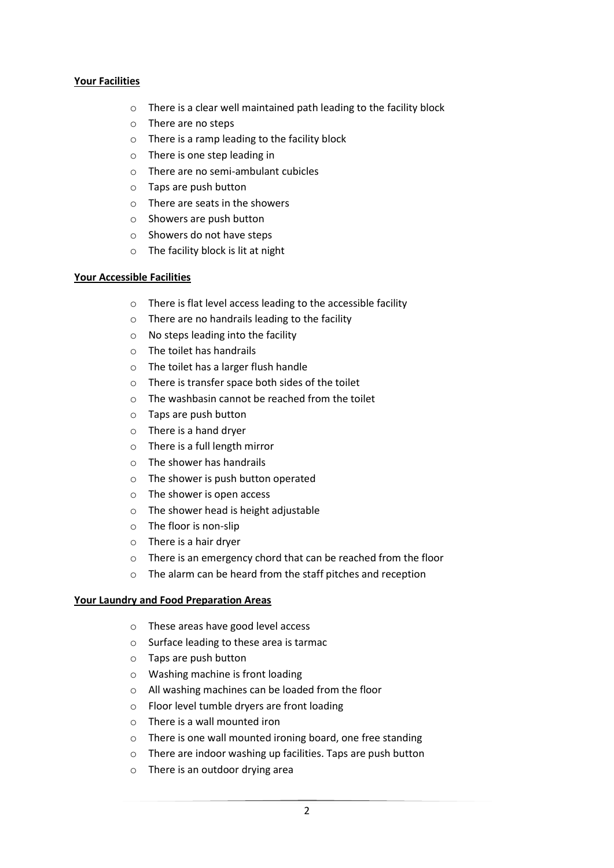## **Your Facilities**

- o There is a clear well maintained path leading to the facility block
- o There are no steps
- o There is a ramp leading to the facility block
- o There is one step leading in
- o There are no semi-ambulant cubicles
- o Taps are push button
- o There are seats in the showers
- o Showers are push button
- o Showers do not have steps
- o The facility block is lit at night

### **Your Accessible Facilities**

- o There is flat level access leading to the accessible facility
- o There are no handrails leading to the facility
- o No steps leading into the facility
- o The toilet has handrails
- o The toilet has a larger flush handle
- o There is transfer space both sides of the toilet
- o The washbasin cannot be reached from the toilet
- o Taps are push button
- o There is a hand dryer
- o There is a full length mirror
- o The shower has handrails
- o The shower is push button operated
- o The shower is open access
- o The shower head is height adjustable
- o The floor is non-slip
- o There is a hair dryer
- o There is an emergency chord that can be reached from the floor
- o The alarm can be heard from the staff pitches and reception

### **Your Laundry and Food Preparation Areas**

- o These areas have good level access
- o Surface leading to these area is tarmac
- o Taps are push button
- o Washing machine is front loading
- o All washing machines can be loaded from the floor
- o Floor level tumble dryers are front loading
- o There is a wall mounted iron
- o There is one wall mounted ironing board, one free standing
- o There are indoor washing up facilities. Taps are push button
- o There is an outdoor drying area